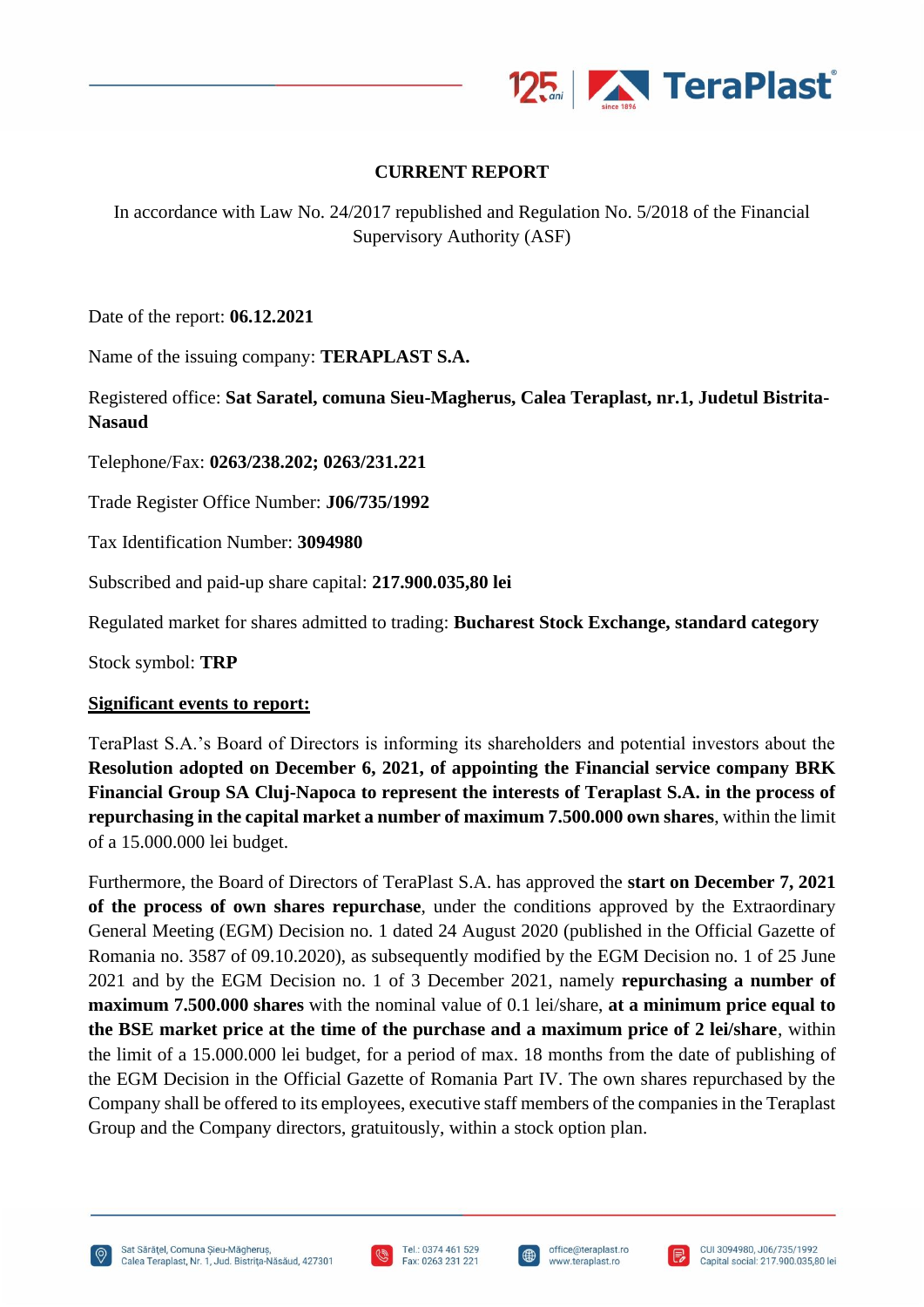

## **CURRENT REPORT**

In accordance with Law No. 24/2017 republished and Regulation No. 5/2018 of the Financial Supervisory Authority (ASF)

Date of the report: **06.12.2021**

Name of the issuing company: **TERAPLAST S.A.**

Registered office: **Sat Saratel, comuna Sieu-Magherus, Calea Teraplast, nr.1, Judetul Bistrita-Nasaud**

Telephone/Fax: **0263/238.202; 0263/231.221**

Trade Register Office Number: **J06/735/1992**

Tax Identification Number: **3094980**

Subscribed and paid-up share capital: **217.900.035,80 lei**

Regulated market for shares admitted to trading: **Bucharest Stock Exchange, standard category**

Stock symbol: **TRP**

## **Significant events to report:**

TeraPlast S.A.'s Board of Directors is informing its shareholders and potential investors about the **Resolution adopted on December 6, 2021, of appointing the Financial service company BRK Financial Group SA Cluj-Napoca to represent the interests of Teraplast S.A. in the process of repurchasing in the capital market a number of maximum 7.500.000 own shares**, within the limit of a 15.000.000 lei budget.

Furthermore, the Board of Directors of TeraPlast S.A. has approved the **start on December 7, 2021 of the process of own shares repurchase**, under the conditions approved by the Extraordinary General Meeting (EGM) Decision no. 1 dated 24 August 2020 (published in the Official Gazette of Romania no. 3587 of 09.10.2020), as subsequently modified by the EGM Decision no. 1 of 25 June 2021 and by the EGM Decision no. 1 of 3 December 2021, namely **repurchasing a number of maximum 7.500.000 shares** with the nominal value of 0.1 lei/share, **at a minimum price equal to the BSE market price at the time of the purchase and a maximum price of 2 lei/share**, within the limit of a 15.000.000 lei budget, for a period of max. 18 months from the date of publishing of the EGM Decision in the Official Gazette of Romania Part IV. The own shares repurchased by the Company shall be offered to its employees, executive staff members of the companies in the Teraplast Group and the Company directors, gratuitously, within a stock option plan.